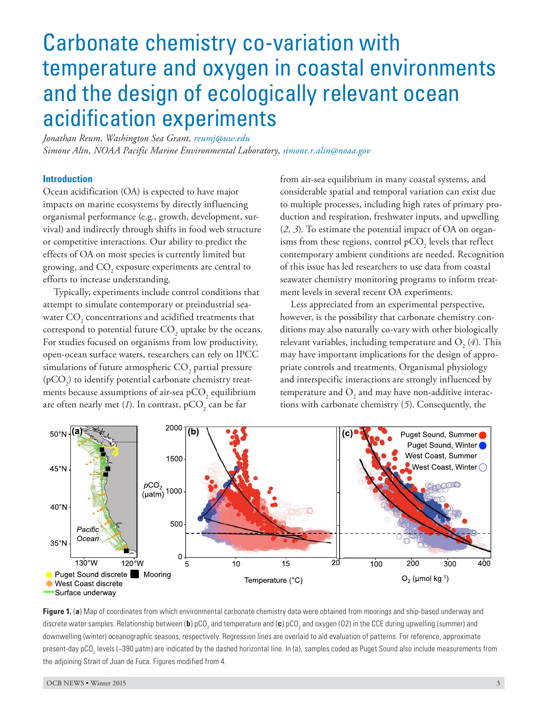# Carbonate chemistry co-variation with temperature and oxygen in coastal environments and the design of ecologically relevant ocean acidification experiments

*Jonathan Reum, Washington Sea Grant, reumj@uw.edu Simone Alin, NOAA Pacific Marine Environmental Laboratory, [simone.r.alin@noaa.gov](mailto:simone.r.alin%40noaa.gov?subject=)*

## **Introduction**

Ocean acidification (OA) is expected to have major impacts on marine ecosystems by directly influencing organismal performance (e.g., growth, development, survival) and indirectly through shifts in food web structure or competitive interactions. Our ability to predict the effects of OA on most species is currently limited but growing, and  $\mathrm{CO}_2$  exposure experiments are central to efforts to increase understanding.

Typically, experiments include control conditions that attempt to simulate contemporary or preindustrial seawater  $\mathrm{CO}_2$  concentrations and acidified treatments that correspond to potential future  $\mathrm{CO}_2$  uptake by the oceans. For studies focused on organisms from low productivity, open-ocean surface waters, researchers can rely on IPCC simulations of future atmospheric  $\mathrm{CO}_2^{}$  partial pressure  $(pCO<sub>2</sub>)$  to identify potential carbonate chemistry treatments because assumptions of air-sea pCO<sub>2</sub> equilibrium are often nearly met (*1*). In contrast,  $pCO_2$  can be far

from air-sea equilibrium in many coastal systems, and considerable spatial and temporal variation can exist due to multiple processes, including high rates of primary production and respiration, freshwater inputs, and upwelling (*2, 3*). To estimate the potential impact of OA on organisms from these regions, control pCO<sub>2</sub> levels that reflect contemporary ambient conditions are needed. Recognition of this issue has led researchers to use data from coastal seawater chemistry monitoring programs to inform treatment levels in several recent OA experiments.

Less appreciated from an experimental perspective, however, is the possibility that carbonate chemistry conditions may also naturally co-vary with other biologically relevant variables, including temperature and  $O_2^2$  (4). This may have important implications for the design of appropriate controls and treatments. Organismal physiology and interspecific interactions are strongly influenced by temperature and  $\mathrm{O}_2$  and may have non-additive interactions with carbonate chemistry (*5*). Consequently, the



**Figure 1.** (**a**) Map of coordinates from which environmental carbonate chemistry data were obtained from moorings and ship-based underway and discrete water samples. Relationship between (**b**) pCO<sub>2</sub> and temperature and (**c**) pCO<sub>2</sub> and oxygen (O2) in the CCE during upwelling (summer) and downwelling (winter) oceanographic seasons, respectively. Regression lines are overlaid to aid evaluation of patterns. For reference, approximate present-day pCO<sub>2</sub> levels (~390 µatm) are indicated by the dashed horizontal line. In (a), samples coded as Puget Sound also include measurements from the adjoining Strait of Juan de Fuca. Figures modified from 4.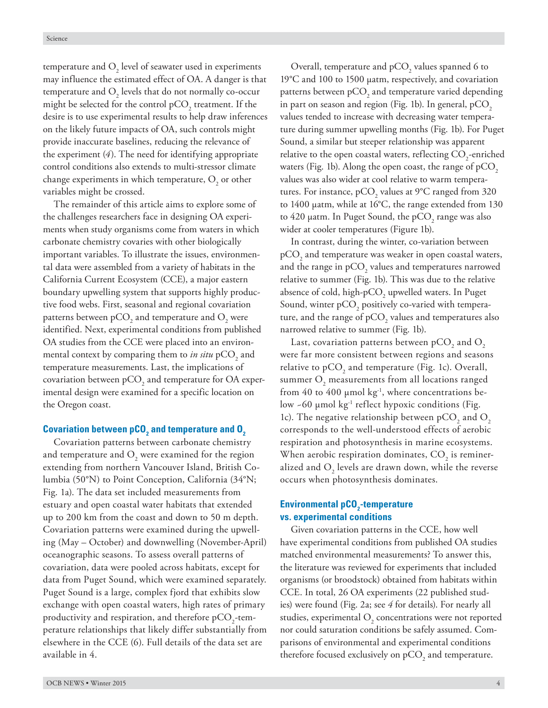temperature and  $\mathrm{O}_2$  level of seawater used in experiments may influence the estimated effect of OA. A danger is that temperature and  $O_2$  levels that do not normally co-occur might be selected for the control  $\tt pCO<sub>2</sub>$  treatment. If the desire is to use experimental results to help draw inferences on the likely future impacts of OA, such controls might provide inaccurate baselines, reducing the relevance of the experiment (*4*). The need for identifying appropriate control conditions also extends to multi-stressor climate change experiments in which temperature,  $O_{2}^{\circ}$  or other variables might be crossed.

The remainder of this article aims to explore some of the challenges researchers face in designing OA experiments when study organisms come from waters in which carbonate chemistry covaries with other biologically important variables. To illustrate the issues, environmental data were assembled from a variety of habitats in the California Current Ecosystem (CCE), a major eastern boundary upwelling system that supports highly productive food webs. First, seasonal and regional covariation patterns between pCO<sub>2</sub> and temperature and O<sub>2</sub> were identified. Next, experimental conditions from published OA studies from the CCE were placed into an environmental context by comparing them to *in situ* pCO<sub>2</sub> and temperature measurements. Last, the implications of covariation between pCO<sub>2</sub> and temperature for OA experimental design were examined for a specific location on the Oregon coast.

# **Covariation between pCO<sub>2</sub> and temperature and O<sub>2</sub>**

Covariation patterns between carbonate chemistry and temperature and  $O_{2}$  were examined for the region extending from northern Vancouver Island, British Columbia (50°N) to Point Conception, California (34°N; Fig. 1a). The data set included measurements from estuary and open coastal water habitats that extended up to 200 km from the coast and down to 50 m depth. Covariation patterns were examined during the upwelling (May – October) and downwelling (November-April) oceanographic seasons. To assess overall patterns of covariation, data were pooled across habitats, except for data from Puget Sound, which were examined separately. Puget Sound is a large, complex fjord that exhibits slow exchange with open coastal waters, high rates of primary productivity and respiration, and therefore  $\tt pCO_{2}$ -temperature relationships that likely differ substantially from elsewhere in the CCE (6). Full details of the data set are available in 4.

Overall, temperature and  $pCO_2$  values spanned 6 to 19°C and 100 to 1500 µatm, respectively, and covariation patterns between pCO<sub>2</sub> and temperature varied depending in part on season and region (Fig. 1b). In general,  $pCO<sub>2</sub>$ values tended to increase with decreasing water temperature during summer upwelling months (Fig. 1b). For Puget Sound, a similar but steeper relationship was apparent relative to the open coastal waters, reflecting  $\mathrm{CO}_\text{2}\text{-enriched}$ waters (Fig. 1b). Along the open coast, the range of  $pCO<sub>2</sub>$ values was also wider at cool relative to warm temperatures. For instance, pCO<sub>2</sub> values at 9°C ranged from 320 to 1400 µatm, while at 16°C, the range extended from 130 to 420  $\mu$ atm. In Puget Sound, the pCO<sub>2</sub> range was also wider at cooler temperatures (Figure 1b).

In contrast, during the winter, co-variation between  $\tt pCO<sub>2</sub>$  and temperature was weaker in open coastal waters, and the range in pCO<sub>2</sub> values and temperatures narrowed relative to summer (Fig. 1b). This was due to the relative absence of cold, high-p $\mathrm{CO}_2$  upwelled waters. In Puget Sound, winter pCO<sub>2</sub> positively co-varied with temperature, and the range of  $\tt pCO_2$  values and temperatures also narrowed relative to summer (Fig. 1b).

Last, covariation patterns between pCO<sub>2</sub> and O<sub>2</sub> were far more consistent between regions and seasons relative to  $\tt pCO<sub>2</sub>$  and temperature (Fig. 1c). Overall, summer  $\mathrm{O}_\mathrm{2}$  measurements from all locations ranged from 40 to 400  $\mu$ mol kg<sup>-1</sup>, where concentrations below  $-60$  µmol kg<sup>-1</sup> reflect hypoxic conditions (Fig. 1c). The negative relationship between pCO<sub>2</sub> and O<sub>2</sub> corresponds to the well-understood effects of aerobic respiration and photosynthesis in marine ecosystems. When aerobic respiration dominates,  $\mathrm{CO}_2^{}$  is remineralized and  $O_2$  levels are drawn down, while the reverse occurs when photosynthesis dominates.

# **Environmental pCO<sub>2</sub>-temperature vs. experimental conditions**

Given covariation patterns in the CCE, how well have experimental conditions from published OA studies matched environmental measurements? To answer this, the literature was reviewed for experiments that included organisms (or broodstock) obtained from habitats within CCE. In total, 26 OA experiments (22 published studies) were found (Fig. 2a; see *4* for details). For nearly all studies, experimental  $O_2$  concentrations were not reported nor could saturation conditions be safely assumed. Comparisons of environmental and experimental conditions therefore focused exclusively on  $\tt pCO<sub>2</sub>$  and temperature.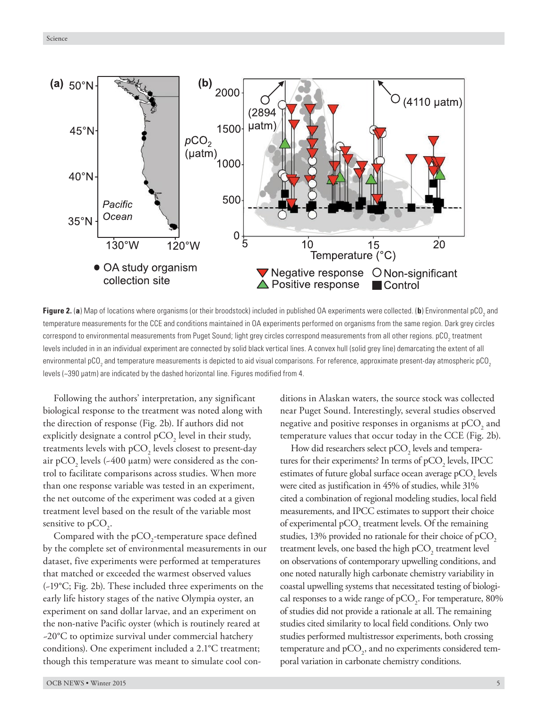

**Figure 2. (a**) Map of locations where organisms (or their broodstock) included in published OA experiments were collected. (**b**) Environmental pCO<sub>2</sub> and temperature measurements for the CCE and conditions maintained in OA experiments performed on organisms from the same region. Dark grey circles correspond to environmental measurements from Puget Sound; light grey circles correspond measurements from all other regions. pCO<sub>2</sub> treatment levels included in in an individual experiment are connected by solid black vertical lines. A convex hull (solid grey line) demarcating the extent of all environmental pCO<sub>2</sub> and temperature measurements is depicted to aid visual comparisons. For reference, approximate present-day atmospheric pCO<sub>2</sub> levels (~390 µatm) are indicated by the dashed horizontal line. Figures modified from 4.

Following the authors' interpretation, any significant biological response to the treatment was noted along with the direction of response (Fig. 2b). If authors did not explicitly designate a control  $pCO_2$  level in their study, treatments levels with pCO<sub>2</sub> levels closest to present-day air pCO<sub>2</sub> levels (~400  $\mu$ atm) were considered as the control to facilitate comparisons across studies. When more than one response variable was tested in an experiment, the net outcome of the experiment was coded at a given treatment level based on the result of the variable most sensitive to  $pCO<sub>2</sub>$ .

Compared with the  $\tt pCO_{2}$ -temperature space defined by the complete set of environmental measurements in our dataset, five experiments were performed at temperatures that matched or exceeded the warmest observed values (~19°C; Fig. 2b). These included three experiments on the early life history stages of the native Olympia oyster, an experiment on sand dollar larvae, and an experiment on the non-native Pacific oyster (which is routinely reared at ~20°C to optimize survival under commercial hatchery conditions). One experiment included a 2.1°C treatment; though this temperature was meant to simulate cool conditions in Alaskan waters, the source stock was collected near Puget Sound. Interestingly, several studies observed negative and positive responses in organisms at  $\tt pCO_{_2}$  and temperature values that occur today in the CCE (Fig. 2b).

How did researchers select  $\tt pCO<sub>2</sub>$  levels and temperatures for their experiments? In terms of  $\tt pCO_{2}$  levels, IPCC estimates of future global surface ocean average pCO<sub>2</sub> levels were cited as justification in 45% of studies, while 31% cited a combination of regional modeling studies, local field measurements, and IPCC estimates to support their choice of experimental pCO<sub>2</sub> treatment levels. Of the remaining studies, 13% provided no rationale for their choice of  $pCO<sub>2</sub>$ treatment levels, one based the high  $pCO_2$  treatment level on observations of contemporary upwelling conditions, and one noted naturally high carbonate chemistry variability in coastal upwelling systems that necessitated testing of biological responses to a wide range of  $pCO<sub>2</sub>$ . For temperature, 80% of studies did not provide a rationale at all. The remaining studies cited similarity to local field conditions. Only two studies performed multistressor experiments, both crossing temperature and  $\tt pCO<sub>2</sub>$ , and no experiments considered temporal variation in carbonate chemistry conditions.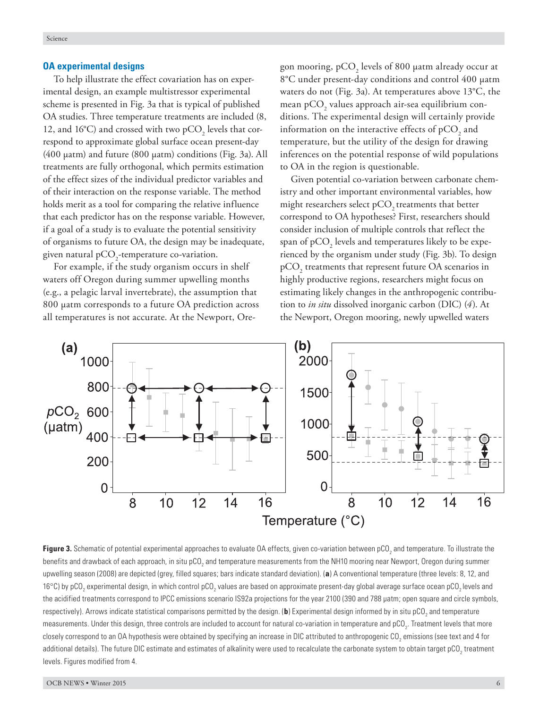### **OA experimental designs**

To help illustrate the effect covariation has on experimental design, an example multistressor experimental scheme is presented in Fig. 3a that is typical of published OA studies. Three temperature treatments are included (8, 12, and 16°C) and crossed with two  $pCO_2$  levels that correspond to approximate global surface ocean present-day (400 µatm) and future (800 µatm) conditions (Fig. 3a). All treatments are fully orthogonal, which permits estimation of the effect sizes of the individual predictor variables and of their interaction on the response variable. The method holds merit as a tool for comparing the relative influence that each predictor has on the response variable. However, if a goal of a study is to evaluate the potential sensitivity of organisms to future OA, the design may be inadequate, given natural pCO<sub>2</sub>-temperature co-variation.

For example, if the study organism occurs in shelf waters off Oregon during summer upwelling months (e.g., a pelagic larval invertebrate), the assumption that 800 µatm corresponds to a future OA prediction across all temperatures is not accurate. At the Newport, Ore-

gon mooring, pCO<sub>2</sub> levels of 800  $\mu$ atm already occur at 8°C under present-day conditions and control 400 µatm waters do not (Fig. 3a). At temperatures above 13°C, the mean p $\mathrm{CO}_2^{}$  values approach air-sea equilibrium conditions. The experimental design will certainly provide information on the interactive effects of  $\tt pCO_{2}$  and temperature, but the utility of the design for drawing inferences on the potential response of wild populations to OA in the region is questionable.

Given potential co-variation between carbonate chemistry and other important environmental variables, how might researchers select  $pCO$ , treatments that better correspond to OA hypotheses? First, researchers should consider inclusion of multiple controls that reflect the span of p $\mathrm{CO}_2$  levels and temperatures likely to be experienced by the organism under study (Fig. 3b). To design  $\tt pCO<sub>2</sub>$  treatments that represent future OA scenarios in highly productive regions, researchers might focus on estimating likely changes in the anthropogenic contribution to *in situ* dissolved inorganic carbon (DIC) (*4*). At the Newport, Oregon mooring, newly upwelled waters



**Figure 3.** Schematic of potential experimental approaches to evaluate OA effects, given co-variation between pCO<sub>2</sub> and temperature. To illustrate the benefits and drawback of each approach, in situ pCO<sub>2</sub> and temperature measurements from the NH10 mooring near Newport, Oregon during summer upwelling season (2008) are depicted (grey, filled squares; bars indicate standard deviation). (**a**) A conventional temperature (three levels: 8, 12, and 16°C) by pCO<sub>2</sub> experimental design, in which control pCO<sub>2</sub> values are based on approximate present-day global average surface ocean pCO<sub>2</sub> levels and the acidified treatments correspond to IPCC emissions scenario IS92a projections for the year 2100 (390 and 788 µatm; open square and circle symbols, respectively). Arrows indicate statistical comparisons permitted by the design. (**b**) Experimental design informed by in situ pCO<sub>2</sub> and temperature measurements. Under this design, three controls are included to account for natural co-variation in temperature and pCO<sub>2</sub>. Treatment levels that more closely correspond to an OA hypothesis were obtained by specifying an increase in DIC attributed to anthropogenic CO<sub>2</sub> emissions (see text and 4 for additional details). The future DIC estimate and estimates of alkalinity were used to recalculate the carbonate system to obtain target pCO<sub>2</sub> treatment levels. Figures modified from 4.